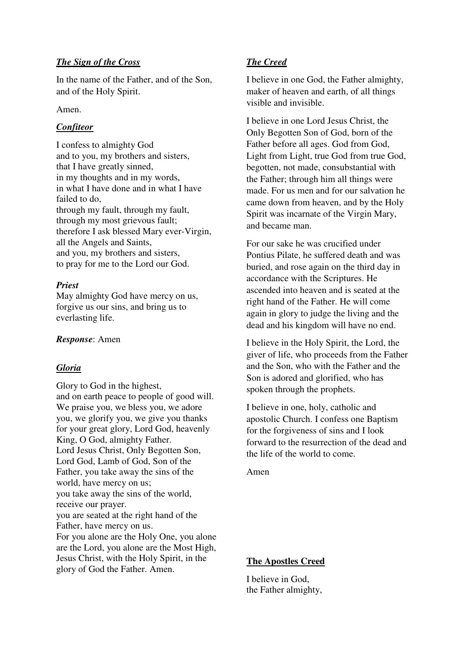## *The Sign of the Cross*

In the name of the Father, and of the Son, and of the Holy Spirit.

Amen.

#### *Confiteor*

I confess to almighty God and to you, my brothers and sisters, that I have greatly sinned, in my thoughts and in my words, in what I have done and in what I have failed to do, through my fault, through my fault, through my most grievous fault; therefore I ask blessed Mary ever-Virgin, all the Angels and Saints, and you, my brothers and sisters, to pray for me to the Lord our God.

### *Priest*

May almighty God have mercy on us, forgive us our sins, and bring us to everlasting life.

*Response*: Amen

## *Gloria*

Glory to God in the highest, and on earth peace to people of good will. We praise you, we bless you, we adore you, we glorify you, we give you thanks for your great glory, Lord God, heavenly King, O God, almighty Father. Lord Jesus Christ, Only Begotten Son, Lord God, Lamb of God, Son of the Father, you take away the sins of the world, have mercy on us; you take away the sins of the world, receive our prayer. you are seated at the right hand of the Father, have mercy on us. For you alone are the Holy One, you alone are the Lord, you alone are the Most High, Jesus Christ, with the Holy Spirit, in the glory of God the Father. Amen.

## *The Creed*

I believe in one God, the Father almighty, maker of heaven and earth, of all things visible and invisible.

I believe in one Lord Jesus Christ, the Only Begotten Son of God, born of the Father before all ages. God from God, Light from Light, true God from true God, begotten, not made, consubstantial with the Father; through him all things were made. For us men and for our salvation he came down from heaven, and by the Holy Spirit was incarnate of the Virgin Mary, and became man.

For our sake he was crucified under Pontius Pilate, he suffered death and was buried, and rose again on the third day in accordance with the Scriptures. He ascended into heaven and is seated at the right hand of the Father. He will come again in glory to judge the living and the dead and his kingdom will have no end.

I believe in the Holy Spirit, the Lord, the giver of life, who proceeds from the Father and the Son, who with the Father and the Son is adored and glorified, who has spoken through the prophets.

I believe in one, holy, catholic and apostolic Church. I confess one Baptism for the forgiveness of sins and I look forward to the resurrection of the dead and the life of the world to come.

Amen

#### **The Apostles Creed**

I believe in God, the Father almighty,